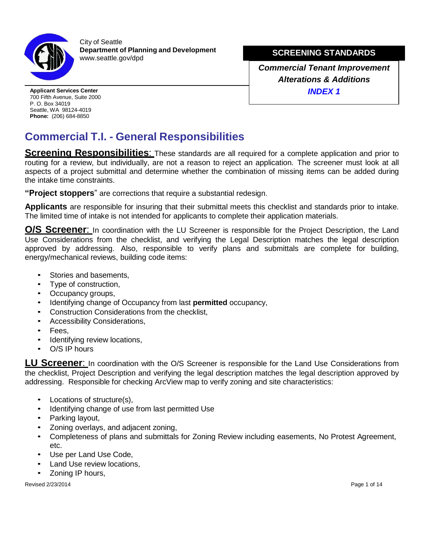

City of Seattle **Department of <b>BQVWUKWLRQDQG,QVSHFWLRQ** [www.seattle.gov/](http://www.seattle.gov/dpd)sdci

**SCREENING STANDARDS**

*Commercial Tenant Improvement Alterations & Additions INDEX 1*

**Applicant Services Center** 700 Fifth Avenue, Suite 2000 P. O. Box 34019 Seattle, WA 98124-4019 **Phone:** (206) 684-8850

## **Commercial T.I. - General Responsibilities**

**Screening Responsibilities:** These standards are all required for a complete application and prior to routing for a review, but individually, are not a reason to reject an application. The screener must look at all aspects of a project submittal and determine whether the combination of missing items can be added during the intake time constraints.

**"Project stoppers**" are corrections that require a substantial redesign.

**Applicants** are responsible for insuring that their submittal meets this checklist and standards prior to intake. The limited time of intake is not intended for applicants to complete their application materials.

**O/S Screener**: In coordination with the LU Screener is responsible for the Project Description, the Land Use Considerations from the checklist, and verifying the Legal Description matches the legal description approved by addressing. Also, responsible to verify plans and submittals are complete for building, energy/mechanical reviews, building code items:

- Stories and basements.
- Type of construction,
- Occupancy groups,
- Identifying change of Occupancy from last **permitted** occupancy,
- Construction Considerations from the checklist,
- Accessibility Considerations,
- Fees.
- Identifying review locations,
- O/S IP hours

**LU Screener**: In coordination with the O/S Screener is responsible for the Land Use Considerations from the checklist, Project Description and verifying the legal description matches the legal description approved by addressing. Responsible for checking ArcView map to verify zoning and site characteristics:

- Locations of structure(s),
- Identifying change of use from last permitted Use
- Parking layout,
- Zoning overlays, and adjacent zoning,
- Completeness of plans and submittals for Zoning Review including easements, No Protest Agreement, etc.
- Use per Land Use Code.
- Land Use review locations,
- Zoning IP hours,

Revised 01/01/2016 **Page 1 of 14**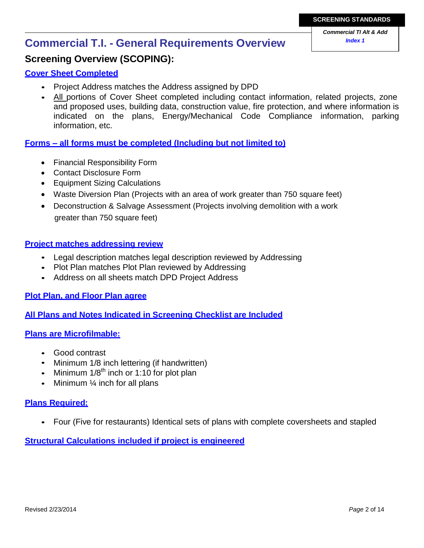# **SCREENING STANDARDS**

# *Index 1* **Commercial T.I. - General Requirements Overview**

### **Screening Overview (SCOPING):**

#### **Cover Sheet Completed**

- Project Address matches the Address assigned by Seattle DCI
- All portions of Cover Sheet completed including contact information, related projects, zone and proposed uses, building data, construction value, fire protection, and where information is indicated on the plans, Energy/Mechanical Code Compliance information, parking information, etc.

#### **Forms – all forms must be completed (Including but not limited to)**

- Financial Responsibility Form
- Contact Disclosure Form
- Equipment Sizing Calculations
- Waste Diversion Plan (Projects with an area of work greater than 750 square feet)
- Deconstruction & Salvage Assessment (Projects involving demolition with a work greater than 750 square feet)

#### **Project matches addressing review**

- Legal description matches legal description reviewed by Addressing
- Plot Plan matches Plot Plan reviewed by Addressing
- Address on all sheets match Seattle DCI Project Address

#### **Plot Plan, and Floor Plan agree**

**All Plans and Notes Indicated in Screening Checklist are Included**

#### **Plans are Microfilmable:**

- Good contrast
- Minimum 1/8 inch lettering (if handwritten)
- Minimum  $1/8<sup>th</sup>$  inch or 1:10 for plot plan
- Minimum  $\frac{1}{4}$  inch for all plans

#### **Plans Required:**

• Four (Five for restaurants) Identical sets of plans with complete coversheets and stapled

#### **Structural Calculations included if project is engineered**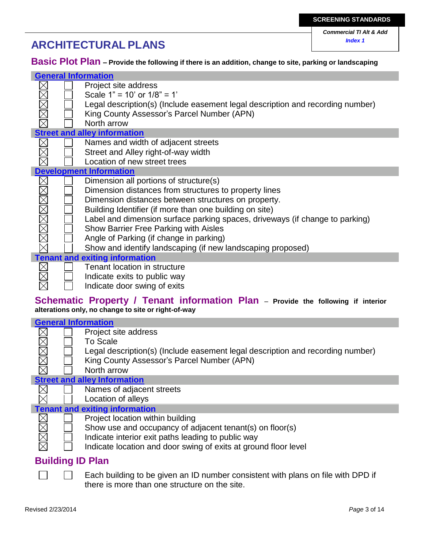# *Index 1* **ARCHITECTURAL PLANS**

*Commercial TI Alt & Add*

**Basic Plot Plan – Provide the following if there is an addition, change to site, parking or landscaping**

| <b>General Information</b> |                                                                                |  |  |
|----------------------------|--------------------------------------------------------------------------------|--|--|
|                            | Project site address                                                           |  |  |
| XMXX                       | Scale $1" = 10'$ or $1/8" = 1'$                                                |  |  |
|                            | Legal description(s) (Include easement legal description and recording number) |  |  |
|                            | King County Assessor's Parcel Number (APN)                                     |  |  |
|                            | North arrow                                                                    |  |  |
|                            | <b>Street and alley information</b>                                            |  |  |
|                            | Names and width of adjacent streets                                            |  |  |
|                            | Street and Alley right-of-way width                                            |  |  |
|                            | Location of new street trees                                                   |  |  |
|                            | <b>Development Information</b>                                                 |  |  |
|                            | Dimension all portions of structure(s)                                         |  |  |
| XMMMMMM                    | Dimension distances from structures to property lines                          |  |  |
|                            | Dimension distances between structures on property.                            |  |  |
|                            | Building Identifier (if more than one building on site)                        |  |  |
|                            | Label and dimension surface parking spaces, driveways (if change to parking)   |  |  |
|                            | Show Barrier Free Parking with Aisles                                          |  |  |
|                            | Angle of Parking (if change in parking)                                        |  |  |
|                            | Show and identify landscaping (if new landscaping proposed)                    |  |  |
|                            | <b>Tenant and exiting information</b>                                          |  |  |
|                            | Tenant location in structure                                                   |  |  |
|                            | Indicate exits to public way                                                   |  |  |
|                            | Indicate door swing of exits                                                   |  |  |

#### **Schematic Property / Tenant information Plan** – **Provide the following if interior alterations only, no change to site or right-of-way**

|       | <b>General Information</b> |                                                                                |  |  |  |
|-------|----------------------------|--------------------------------------------------------------------------------|--|--|--|
|       |                            | Project site address                                                           |  |  |  |
|       |                            | To Scale                                                                       |  |  |  |
|       |                            | Legal description(s) (Include easement legal description and recording number) |  |  |  |
| MMMMM |                            | King County Assessor's Parcel Number (APN)                                     |  |  |  |
|       |                            | North arrow                                                                    |  |  |  |
|       |                            | <b>Street and alley Information</b>                                            |  |  |  |
|       |                            | Names of adjacent streets                                                      |  |  |  |
|       |                            | Location of alleys                                                             |  |  |  |
|       |                            | <b>Tenant and exiting information</b>                                          |  |  |  |
|       |                            | Project location within building                                               |  |  |  |
|       |                            | Show use and occupancy of adjacent tenant(s) on floor(s)                       |  |  |  |
| XXXX  |                            | Indicate interior exit paths leading to public way                             |  |  |  |
|       |                            | Indicate location and door swing of exits at ground floor level                |  |  |  |

Indicate location and door swing of exits at ground floor level

### **Building ID Plan**

 $\Box$ Each building to be given an ID number consistent with plans on file with Seattle DCI if there is more than one structure on the site.

 $\Box$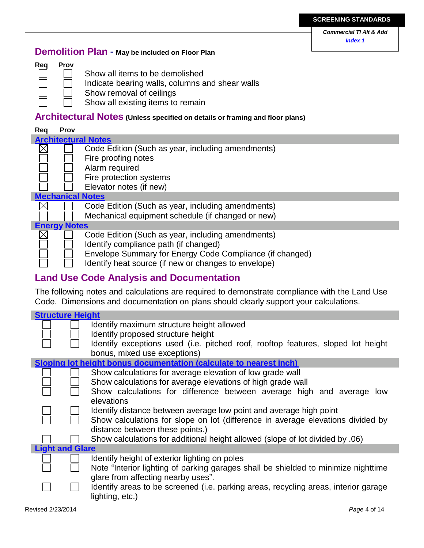*Commercial TI Alt & Add Index 1*

### **Demolition Plan - May be included on Floor Plan**



- Show all items to be demolished
- Indicate bearing walls, columns and shear walls
- Show removal of ceilings
- Show all existing items to remain

### **Architectural Notes (Unless specified on details or framing and floor plans)**

#### **Req Prov Architectural Notes**  $\boxtimes$ Code Edition (Such as year, including amendments) Fire proofing notes Alarm required Fire protection systems Elevator notes (if new) **Mechanical Notes**  $\times$ Code Edition (Such as year, including amendments) Mechanical equipment schedule (if changed or new) **Energy Notes** Code Edition (Such as year, including amendments)  $\bowtie$ Identify compliance path (if changed) Envelope Summary for Energy Code Compliance (if changed) Identify heat source (if new or changes to envelope)

### **Land Use Code Analysis and Documentation**

The following notes and calculations are required to demonstrate compliance with the Land Use Code. Dimensions and documentation on plans should clearly support your calculations.

| <b>Structure Height</b> |                                                                                     |
|-------------------------|-------------------------------------------------------------------------------------|
|                         | Identify maximum structure height allowed                                           |
|                         | Identify proposed structure height                                                  |
|                         | Identify exceptions used (i.e. pitched roof, rooftop features, sloped lot height    |
|                         | bonus, mixed use exceptions)                                                        |
|                         | Sloping lot height bonus documentation (calculate to nearest inch)                  |
|                         | Show calculations for average elevation of low grade wall                           |
|                         | Show calculations for average elevations of high grade wall                         |
|                         | Show calculations for difference between average high and average low               |
|                         | elevations                                                                          |
|                         | Identify distance between average low point and average high point                  |
|                         | Show calculations for slope on lot (difference in average elevations divided by     |
|                         | distance between these points.)                                                     |
|                         | Show calculations for additional height allowed (slope of lot divided by .06)       |
| <b>Light and Glare</b>  |                                                                                     |
|                         | Identify height of exterior lighting on poles                                       |
|                         | Note "Interior lighting of parking garages shall be shielded to minimize nighttime  |
|                         | glare from affecting nearby uses".                                                  |
|                         | Identify areas to be screened (i.e. parking areas, recycling areas, interior garage |
|                         | lighting, etc.)                                                                     |
|                         |                                                                                     |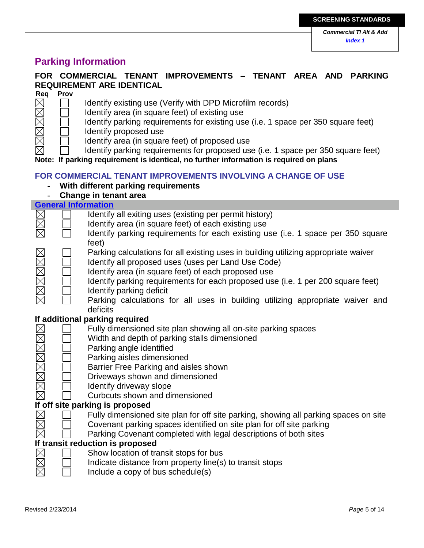### **Parking Information**

### **FOR COMMERCIAL TENANT IMPROVEMENTS – TENANT AREA AND PARKING REQUIREMENT ARE IDENTICAL**

| Req | Prov |
|-----|------|
|     |      |
|     |      |
|     |      |
|     |      |
|     |      |
|     |      |

- Identify existing use (Verify with Seattle DCI Microfilm records)
- Identify area (in square feet) of existing use
	- Identify parking requirements for existing use (i.e. 1 space per 350 square feet)
- Identify proposed use
	- Identify area (in square feet) of proposed use

Identify parking requirements for proposed use (i.e. 1 space per 350 square feet)

**Note: If parking requirement is identical, no further information is required on plans**

#### **FOR COMMERCIAL TENANT IMPROVEMENTS INVOLVING A CHANGE OF USE**

- **With different parking requirements**
- **Change in tenant area**

|                | <b>General Information</b> |                                                                                      |  |  |
|----------------|----------------------------|--------------------------------------------------------------------------------------|--|--|
|                |                            | Identify all exiting uses (existing per permit history)                              |  |  |
|                |                            | Identify area (in square feet) of each existing use                                  |  |  |
|                |                            | Identify parking requirements for each existing use (i.e. 1 space per 350 square     |  |  |
|                |                            | feet)                                                                                |  |  |
|                |                            | Parking calculations for all existing uses in building utilizing appropriate waiver  |  |  |
|                |                            | Identify all proposed uses (uses per Land Use Code)                                  |  |  |
|                |                            | Identify area (in square feet) of each proposed use                                  |  |  |
|                |                            | Identify parking requirements for each proposed use (i.e. 1 per 200 square feet)     |  |  |
| <u>xamanar</u> |                            | Identify parking deficit                                                             |  |  |
|                |                            | Parking calculations for all uses in building utilizing appropriate waiver and       |  |  |
|                |                            | deficits                                                                             |  |  |
|                |                            | If additional parking required                                                       |  |  |
|                |                            | Fully dimensioned site plan showing all on-site parking spaces                       |  |  |
|                |                            | Width and depth of parking stalls dimensioned                                        |  |  |
|                |                            | Parking angle identified                                                             |  |  |
|                |                            | Parking aisles dimensioned                                                           |  |  |
|                |                            | Barrier Free Parking and aisles shown                                                |  |  |
| MMMMMM         |                            | Driveways shown and dimensioned                                                      |  |  |
|                |                            | Identify driveway slope                                                              |  |  |
|                |                            | Curbcuts shown and dimensioned                                                       |  |  |
|                |                            | If off site parking is proposed                                                      |  |  |
|                |                            |                                                                                      |  |  |
|                |                            | Fully dimensioned site plan for off site parking, showing all parking spaces on site |  |  |
|                |                            | Covenant parking spaces identified on site plan for off site parking                 |  |  |
|                |                            | Parking Covenant completed with legal descriptions of both sites                     |  |  |
|                |                            | If transit reduction is proposed                                                     |  |  |
|                |                            | Show location of transit stops for bus                                               |  |  |
|                |                            | Indicate distance from property line(s) to transit stops                             |  |  |
|                |                            | Include a copy of bus schedule(s)                                                    |  |  |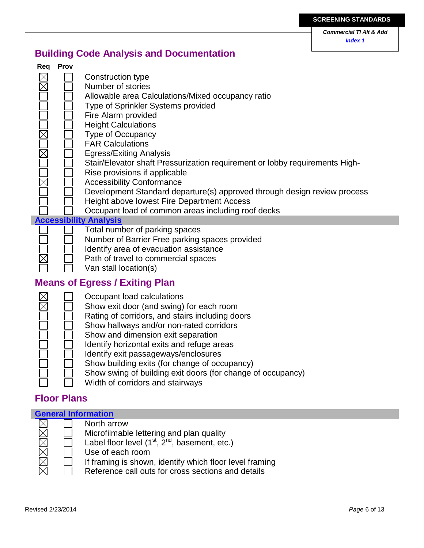*Commercial TI Alt & Add Index 1*

### **Building Code Analysis and Documentation**

| Req | <b>Prov</b> |                                                                             |
|-----|-------------|-----------------------------------------------------------------------------|
|     |             | Construction type                                                           |
|     |             | Number of stories                                                           |
|     |             | Allowable area Calculations/Mixed occupancy ratio                           |
|     |             | Type of Sprinkler Systems provided                                          |
|     |             | Fire Alarm provided                                                         |
|     |             | <b>Height Calculations</b>                                                  |
|     |             | <b>Type of Occupancy</b>                                                    |
|     |             | <b>FAR Calculations</b>                                                     |
|     |             | <b>Egress/Exiting Analysis</b>                                              |
|     |             | Stair/Elevator shaft Pressurization requirement or lobby requirements High- |
|     |             | Rise provisions if applicable                                               |
|     |             | <b>Accessibility Conformance</b>                                            |
|     |             | Development Standard departure(s) approved through design review process    |
|     |             | Height above lowest Fire Department Access                                  |
|     |             | Occupant load of common areas including roof decks                          |
|     |             | <b>Accessibility Analysis</b>                                               |
|     |             | Total number of parking spaces                                              |
|     |             | Number of Barrier Free parking spaces provided                              |
|     |             | Identify area of evacuation assistance                                      |

- Path of travel to commercial spaces
	- Van stall location(s)

### **Means of Egress / Exiting Plan**



### **Floor Plans**

I

 $\trianglerighteq$ 

| <b>General Information</b> |  |                                                         |  |  |
|----------------------------|--|---------------------------------------------------------|--|--|
|                            |  | North arrow                                             |  |  |
| X<br>X                     |  | Microfilmable lettering and plan quality                |  |  |
|                            |  | Label floor level $(1^{st}, 2^{nd},$ basement, etc.)    |  |  |
|                            |  | Use of each room                                        |  |  |
| $\boxtimes$                |  | If framing is shown, identify which floor level framing |  |  |
|                            |  | Reference call outs for cross sections and details      |  |  |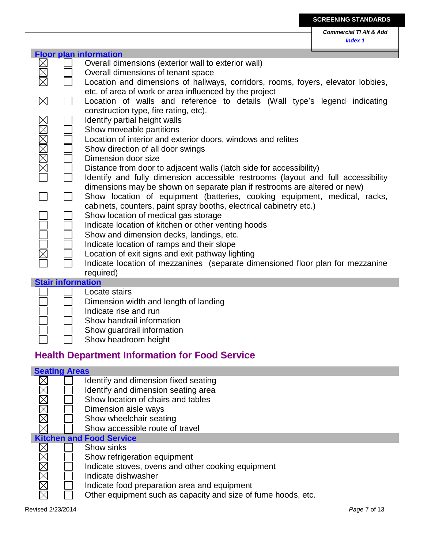|        |                          | <b>Floor plan information</b>                                                    |
|--------|--------------------------|----------------------------------------------------------------------------------|
|        |                          | Overall dimensions (exterior wall to exterior wall)                              |
|        |                          | Overall dimensions of tenant space                                               |
|        |                          | Location and dimensions of hallways, corridors, rooms, foyers, elevator lobbies, |
|        |                          | etc. of area of work or area influenced by the project                           |
|        |                          |                                                                                  |
|        |                          | Location of walls and reference to details (Wall type's legend indicating        |
|        |                          | construction type, fire rating, etc).                                            |
|        |                          | Identify partial height walls                                                    |
|        |                          | Show moveable partitions                                                         |
|        |                          | Location of interior and exterior doors, windows and relites                     |
|        |                          | Show direction of all door swings                                                |
| MMMMMM |                          | Dimension door size                                                              |
|        |                          | Distance from door to adjacent walls (latch side for accessibility)              |
|        |                          | Identify and fully dimension accessible restrooms (layout and full accessibility |
|        |                          | dimensions may be shown on separate plan if restrooms are altered or new)        |
|        |                          |                                                                                  |
|        |                          | Show location of equipment (batteries, cooking equipment, medical, racks,        |
|        |                          | cabinets, counters, paint spray booths, electrical cabinetry etc.)               |
|        |                          | Show location of medical gas storage                                             |
|        |                          | Indicate location of kitchen or other venting hoods                              |
|        |                          | Show and dimension decks, landings, etc.                                         |
|        |                          | Indicate location of ramps and their slope                                       |
|        |                          | Location of exit signs and exit pathway lighting                                 |
|        |                          | Indicate location of mezzanines (separate dimensioned floor plan for mezzanine   |
|        |                          | required)                                                                        |
|        | <b>Stair information</b> |                                                                                  |
|        |                          | Locate stairs                                                                    |
|        |                          | Dimension width and length of landing                                            |
|        |                          |                                                                                  |
|        |                          | Indicate rise and run                                                            |
|        |                          | Show handrail information                                                        |
|        |                          | Show guardrail information                                                       |
|        |                          | Show headroom height                                                             |
|        |                          | astmaant Infarmaatian far Faaal Carui                                            |

### **Health Department Information for Food Service**

### **Seating Areas**

|       | Identify and dimension fixed seating                          |
|-------|---------------------------------------------------------------|
|       | Identify and dimension seating area                           |
| XMX   | Show location of chairs and tables                            |
|       | Dimension aisle ways                                          |
|       | Show wheelchair seating                                       |
|       | Show accessible route of travel                               |
|       | <b>Kitchen and Food Service</b>                               |
|       | Show sinks                                                    |
|       | Show refrigeration equipment                                  |
| XMXXX | Indicate stoves, ovens and other cooking equipment            |
|       | Indicate dishwasher                                           |
|       | Indicate food preparation area and equipment                  |
|       | Other equipment such as capacity and size of fume hoods, etc. |

- Indicate food preparation area and equipment
	- Other equipment such as capacity and size of fume hoods, etc.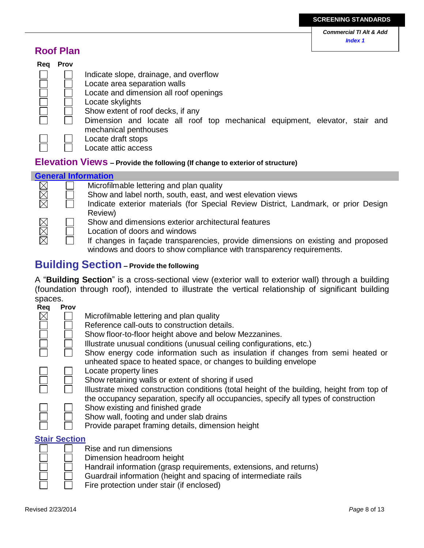### **Roof Plan**

| Reg | <b>Prov</b> |                                                                                                                                                                           |
|-----|-------------|---------------------------------------------------------------------------------------------------------------------------------------------------------------------------|
|     |             | Indicate slope, drainage, and overflow<br>Locate area separation walls<br>Locate and dimension all roof openings<br>Locate skylights<br>Show extent of roof decks, if any |
|     |             | Dimension and locate all roof top mechanical equipment, elevator, stair and<br>mechanical penthouses                                                                      |
|     |             | Locate draft stops<br>Locate attic access                                                                                                                                 |

### **Elevation Views – Provide the following (If change to exterior of structure)**



### **Building Section – Provide the following**

A "**Building Section**" is a cross-sectional view (exterior wall to exterior wall) through a building (foundation through roof), intended to illustrate the vertical relationship of significant building spaces.



#### **Stair Section**

| __<br>__ | __<br>__ |
|----------|----------|
|          |          |

- Rise and run dimensions
- Dimension headroom height
- Handrail information (grasp requirements, extensions, and returns)
- Guardrail information (height and spacing of intermediate rails
	- Fire protection under stair (if enclosed)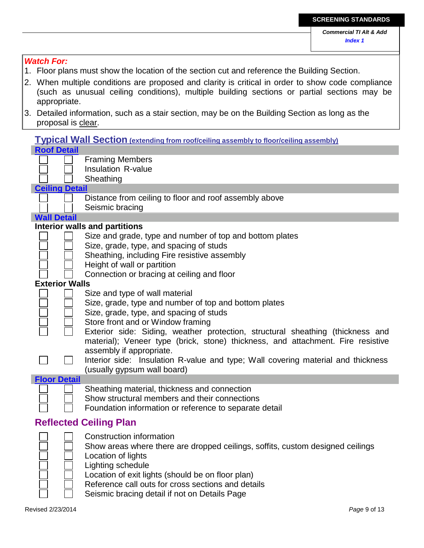| <b>Watch For:</b>                                                                                           |
|-------------------------------------------------------------------------------------------------------------|
| 1. Floor plans must show the location of the section cut and reference the Building Section.                |
| 2. When multiple conditions are proposed and clarity is critical in order to show code compliance           |
| (such as unusual ceiling conditions), multiple building sections or partial sections may be                 |
| appropriate.                                                                                                |
| Detailed information, such as a stair section, may be on the Building Section as long as the<br>3.          |
| proposal is clear.                                                                                          |
|                                                                                                             |
| <b>Typical Wall Section</b> (extending from roof/ceiling assembly to floor/ceiling assembly)                |
| <b>Roof Detail</b>                                                                                          |
| <b>Framing Members</b><br><b>Insulation R-value</b>                                                         |
| Sheathing                                                                                                   |
| <b>Ceiling Detail</b>                                                                                       |
| Distance from ceiling to floor and roof assembly above                                                      |
| Seismic bracing                                                                                             |
| <b>Wall Detail</b>                                                                                          |
| <b>Interior walls and partitions</b>                                                                        |
| Size and grade, type and number of top and bottom plates                                                    |
| Size, grade, type, and spacing of studs                                                                     |
| Sheathing, including Fire resistive assembly                                                                |
| Height of wall or partition                                                                                 |
| Connection or bracing at ceiling and floor                                                                  |
| <b>Exterior Walls</b>                                                                                       |
| Size and type of wall material                                                                              |
| Size, grade, type and number of top and bottom plates                                                       |
| Size, grade, type, and spacing of studs                                                                     |
| Store front and or Window framing                                                                           |
| Exterior side: Siding, weather protection, structural sheathing (thickness and                              |
| material); Veneer type (brick, stone) thickness, and attachment. Fire resistive<br>assembly if appropriate. |
| Interior side: Insulation R-value and type; Wall covering material and thickness                            |
| (usually gypsum wall board)                                                                                 |
| <b>Floor Detail</b>                                                                                         |
| Sheathing material, thickness and connection                                                                |
| Show structural members and their connections                                                               |
| Foundation information or reference to separate detail                                                      |
| <b>Reflected Ceiling Plan</b>                                                                               |
| <b>Construction information</b>                                                                             |
| Show areas where there are dropped ceilings, soffits, custom designed ceilings                              |
| Location of lights                                                                                          |
| Lighting schedule                                                                                           |
| Location of exit lights (should be on floor plan)                                                           |

- Reference call outs for cross sections and details
- Seismic bracing detail if not on Details Page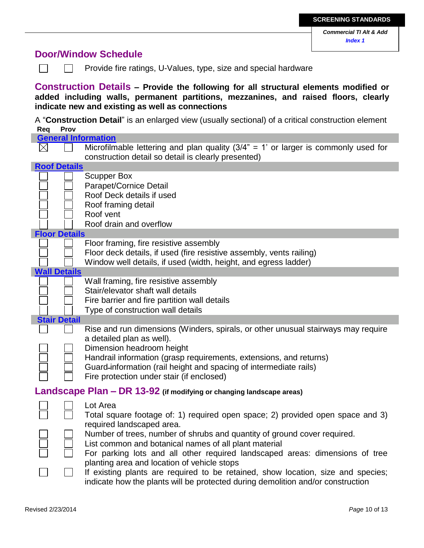### **Door/Window Schedule**

| <b>Door/Window Schedule</b>                                                                                                                                                                                                            |                     |                                                                                                                                                                                                                                                                                                                                                             |  |  |
|----------------------------------------------------------------------------------------------------------------------------------------------------------------------------------------------------------------------------------------|---------------------|-------------------------------------------------------------------------------------------------------------------------------------------------------------------------------------------------------------------------------------------------------------------------------------------------------------------------------------------------------------|--|--|
|                                                                                                                                                                                                                                        |                     | Provide fire ratings, U-Values, type, size and special hardware                                                                                                                                                                                                                                                                                             |  |  |
| <b>Construction Details - Provide the following for all structural elements modified or</b><br>added including walls, permanent partitions, mezzanines, and raised floors, clearly<br>indicate new and existing as well as connections |                     |                                                                                                                                                                                                                                                                                                                                                             |  |  |
| Req                                                                                                                                                                                                                                    | Prov                | A "Construction Detail" is an enlarged view (usually sectional) of a critical construction element                                                                                                                                                                                                                                                          |  |  |
|                                                                                                                                                                                                                                        |                     | <b>General Information</b>                                                                                                                                                                                                                                                                                                                                  |  |  |
| $\boxtimes$                                                                                                                                                                                                                            |                     | Microfilmable lettering and plan quality $(3/4)$ " = 1' or larger is commonly used for<br>construction detail so detail is clearly presented)                                                                                                                                                                                                               |  |  |
| <b>Roof Details</b>                                                                                                                                                                                                                    |                     |                                                                                                                                                                                                                                                                                                                                                             |  |  |
|                                                                                                                                                                                                                                        |                     | <b>Scupper Box</b><br>Parapet/Cornice Detail<br>Roof Deck details if used<br>Roof framing detail<br>Roof vent<br>Roof drain and overflow                                                                                                                                                                                                                    |  |  |
| <b>Floor Details</b>                                                                                                                                                                                                                   |                     |                                                                                                                                                                                                                                                                                                                                                             |  |  |
|                                                                                                                                                                                                                                        |                     | Floor framing, fire resistive assembly<br>Floor deck details, if used (fire resistive assembly, vents railing)<br>Window well details, if used (width, height, and egress ladder)                                                                                                                                                                           |  |  |
| <b>Wall Details</b>                                                                                                                                                                                                                    |                     |                                                                                                                                                                                                                                                                                                                                                             |  |  |
|                                                                                                                                                                                                                                        |                     | Wall framing, fire resistive assembly<br>Stair/elevator shaft wall details<br>Fire barrier and fire partition wall details<br>Type of construction wall details                                                                                                                                                                                             |  |  |
|                                                                                                                                                                                                                                        | <b>Stair Detail</b> |                                                                                                                                                                                                                                                                                                                                                             |  |  |
|                                                                                                                                                                                                                                        |                     | Rise and run dimensions (Winders, spirals, or other unusual stairways may require<br>a detailed plan as well).<br>Dimension headroom height<br>Handrail information (grasp requirements, extensions, and returns)<br>Guard-information (rail height and spacing of intermediate rails)<br>Fire protection under stair (if enclosed)                         |  |  |
|                                                                                                                                                                                                                                        |                     | <b>Landscape Plan – DR 13-92</b> (if modifying or changing landscape areas)                                                                                                                                                                                                                                                                                 |  |  |
|                                                                                                                                                                                                                                        |                     | Lot Area<br>Total square footage of: 1) required open space; 2) provided open space and 3)<br>required landscaped area.<br>Number of trees, number of shrubs and quantity of ground cover required.                                                                                                                                                         |  |  |
|                                                                                                                                                                                                                                        |                     | List common and botanical names of all plant material<br>For parking lots and all other required landscaped areas: dimensions of tree<br>planting area and location of vehicle stops<br>If existing plants are required to be retained, show location, size and species;<br>indicate how the plants will be protected during demolition and/or construction |  |  |
|                                                                                                                                                                                                                                        |                     |                                                                                                                                                                                                                                                                                                                                                             |  |  |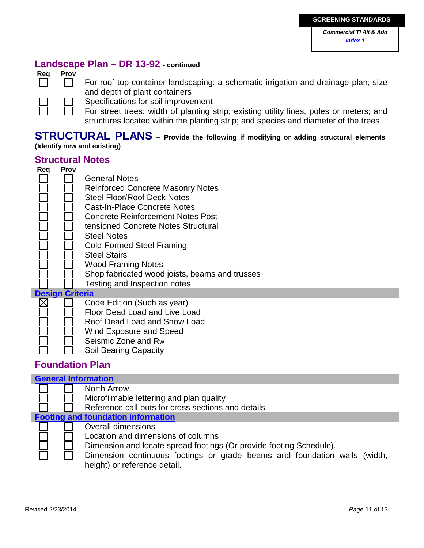### **Landscape Plan – DR 13-92 - continued**

### **Req Prov**



For roof top container landscaping: a schematic irrigation and drainage plan; size and depth of plant containers

Specifications for soil improvement

For street trees: width of planting strip; existing utility lines, poles or meters; and structures located within the planting strip; and species and diameter of the trees

### **STRUCTURAL PLANS** – **Provide the following if modifying or adding structural elements (Identify new and existing)**

### **Structural Notes**

| Rea | <b>Prov</b>            |                                                |
|-----|------------------------|------------------------------------------------|
|     |                        | <b>General Notes</b>                           |
|     |                        | <b>Reinforced Concrete Masonry Notes</b>       |
|     |                        | <b>Steel Floor/Roof Deck Notes</b>             |
|     |                        | Cast-In-Place Concrete Notes                   |
|     |                        | Concrete Reinforcement Notes Post-             |
|     |                        | tensioned Concrete Notes Structural            |
|     |                        | <b>Steel Notes</b>                             |
|     |                        | <b>Cold-Formed Steel Framing</b>               |
|     |                        | <b>Steel Stairs</b>                            |
|     |                        | <b>Wood Framing Notes</b>                      |
|     |                        | Shop fabricated wood joists, beams and trusses |
|     |                        | Testing and Inspection notes                   |
|     | <b>Design Criteria</b> |                                                |
|     |                        | Code Edition (Such as year)                    |
|     |                        | Floor Dead Load and Live Load                  |
|     |                        | Roof Dead Load and Snow Load                   |
|     |                        | Wind Exposure and Speed                        |

Seismic Zone and Rw Soil Bearing Capacity

### **Foundation Plan**

### **General Information** North Arrow Microfilmable lettering and plan quality Reference call-outs for cross sections and details **Footing and foundation information** Overall dimensions Location and dimensions of columns Dimension and locate spread footings (Or provide footing Schedule). Dimension continuous footings or grade beams and foundation walls (width, height) or reference detail.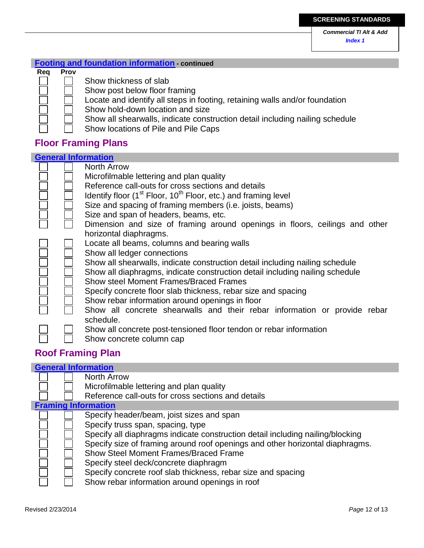### **Footing and foundation information - continued**

#### **Req Prov**

- Show thickness of slab
- Show post below floor framing
- Locate and identify all steps in footing, retaining walls and/or foundation
- Show hold-down location and size
	- Show all shearwalls, indicate construction detail including nailing schedule
- Show locations of Pile and Pile Caps

### **Floor Framing Plans**

| <b>General Information</b>                                                   |
|------------------------------------------------------------------------------|
| North Arrow                                                                  |
| Microfilmable lettering and plan quality                                     |
| Reference call-outs for cross sections and details                           |
| Identify floor $(1st$ Floor, $10th$ Floor, etc.) and framing level           |
| Size and spacing of framing members (i.e. joists, beams)                     |
| Size and span of headers, beams, etc.                                        |
| Dimension and size of framing around openings in floors, ceilings and other  |
| horizontal diaphragms.                                                       |
| Locate all beams, columns and bearing walls                                  |
| Show all ledger connections                                                  |
| Show all shearwalls, indicate construction detail including nailing schedule |
| Show all diaphragms, indicate construction detail including nailing schedule |
| <b>Show steel Moment Frames/Braced Frames</b>                                |
| Specify concrete floor slab thickness, rebar size and spacing                |
| Show rebar information around openings in floor                              |
| Show all concrete shearwalls and their rebar information or provide rebar    |
| schedule.                                                                    |
| Show all concrete post-tensioned floor tendon or rebar information           |
| Show concrete column cap                                                     |

### **Roof Framing Plan**

### **General Information**

|                            |  | <b>North Arrow</b>                                                                                                                                                                                                                                                                       |  |
|----------------------------|--|------------------------------------------------------------------------------------------------------------------------------------------------------------------------------------------------------------------------------------------------------------------------------------------|--|
|                            |  | Microfilmable lettering and plan quality                                                                                                                                                                                                                                                 |  |
|                            |  | Reference call-outs for cross sections and details                                                                                                                                                                                                                                       |  |
| <b>Framing Information</b> |  |                                                                                                                                                                                                                                                                                          |  |
|                            |  | Specify header/beam, joist sizes and span<br>Specify truss span, spacing, type<br>Specify all diaphragms indicate construction detail including nailing/blocking                                                                                                                         |  |
|                            |  | Specify size of framing around roof openings and other horizontal diaphragms.<br><b>Show Steel Moment Frames/Braced Frame</b><br>Specify steel deck/concrete diaphragm<br>Specify concrete roof slab thickness, rebar size and spacing<br>Show rebar information around openings in roof |  |